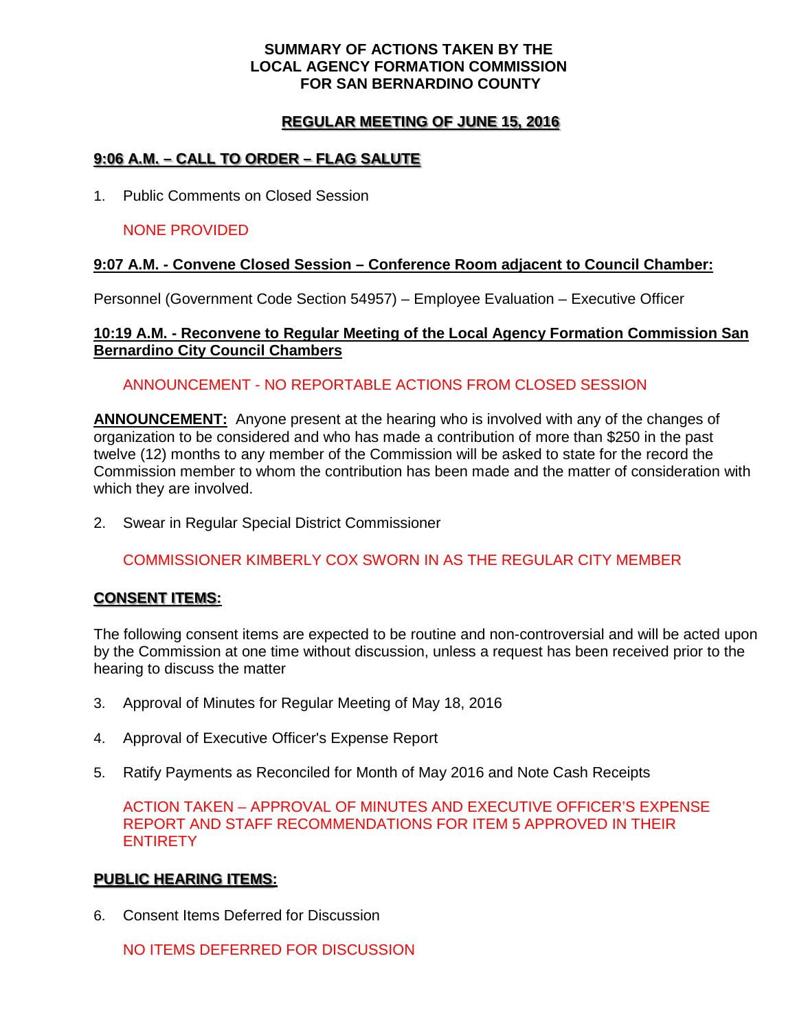#### **SUMMARY OF ACTIONS TAKEN BY THE LOCAL AGENCY FORMATION COMMISSION FOR SAN BERNARDINO COUNTY**

# **REGULAR MEETING OF JUNE 15, 2016**

# **9:06 A.M. – CALL TO ORDER – FLAG SALUTE**

1. Public Comments on Closed Session

### NONE PROVIDED

#### **9:07 A.M. - Convene Closed Session – Conference Room adjacent to Council Chamber:**

Personnel (Government Code Section 54957) – Employee Evaluation – Executive Officer

#### **10:19 A.M. - Reconvene to Regular Meeting of the Local Agency Formation Commission San Bernardino City Council Chambers**

#### ANNOUNCEMENT - NO REPORTABLE ACTIONS FROM CLOSED SESSION

**ANNOUNCEMENT:** Anyone present at the hearing who is involved with any of the changes of organization to be considered and who has made a contribution of more than \$250 in the past twelve (12) months to any member of the Commission will be asked to state for the record the Commission member to whom the contribution has been made and the matter of consideration with which they are involved.

2. Swear in Regular Special District Commissioner

# COMMISSIONER KIMBERLY COX SWORN IN AS THE REGULAR CITY MEMBER

#### **CONSENT ITEMS:**

The following consent items are expected to be routine and non-controversial and will be acted upon by the Commission at one time without discussion, unless a request has been received prior to the hearing to discuss the matter

- 3. Approval of Minutes for Regular Meeting of May 18, 2016
- 4. Approval of Executive Officer's Expense Report
- 5. Ratify Payments as Reconciled for Month of May 2016 and Note Cash Receipts

ACTION TAKEN – APPROVAL OF MINUTES AND EXECUTIVE OFFICER'S EXPENSE REPORT AND STAFF RECOMMENDATIONS FOR ITEM 5 APPROVED IN THEIR **ENTIRETY** 

#### **PUBLIC HEARING ITEMS:**

6. Consent Items Deferred for Discussion

NO ITEMS DEFERRED FOR DISCUSSION